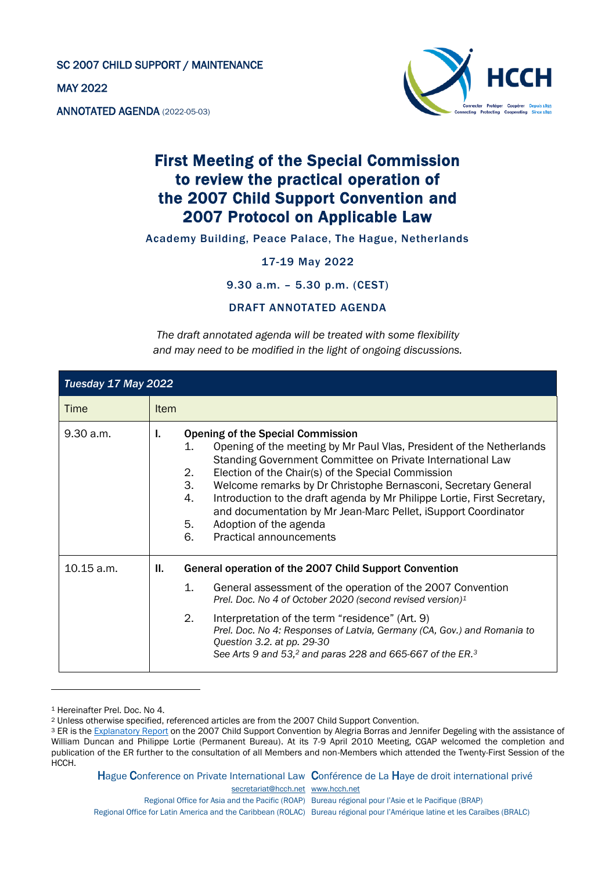SC 2007 CHILD SUPPORT / MAINTENANCE

MAY 2022

ANNOTATED AGENDA (2022-05-03)



## First Meeting of the Special Commission to review the practical operation of the 2007 Child Support Convention and 2007 Protocol on Applicable Law

Academy Building, Peace Palace, The Hague, Netherlands

17-19 May 2022

9.30 a.m. – 5.30 p.m. (CEST)

DRAFT ANNOTATED AGENDA

*The draft annotated agenda will be treated with some flexibility and may need to be modified in the light of ongoing discussions.*

| Tuesday 17 May 2022 |             |                                                                                                                                                                                                                                                                                                                                                                                                                                                                                                                                                      |
|---------------------|-------------|------------------------------------------------------------------------------------------------------------------------------------------------------------------------------------------------------------------------------------------------------------------------------------------------------------------------------------------------------------------------------------------------------------------------------------------------------------------------------------------------------------------------------------------------------|
| Time                | <b>Item</b> |                                                                                                                                                                                                                                                                                                                                                                                                                                                                                                                                                      |
| 9.30 a.m.           | Ъ.          | <b>Opening of the Special Commission</b><br>1.<br>Opening of the meeting by Mr Paul Vlas, President of the Netherlands<br>Standing Government Committee on Private International Law<br>2.<br>Election of the Chair(s) of the Special Commission<br>3.<br>Welcome remarks by Dr Christophe Bernasconi, Secretary General<br>Introduction to the draft agenda by Mr Philippe Lortie, First Secretary,<br>4.<br>and documentation by Mr Jean-Marc Pellet, iSupport Coordinator<br>5.<br>Adoption of the agenda<br><b>Practical announcements</b><br>6. |
| 10.15 a.m.          | II.         | General operation of the 2007 Child Support Convention                                                                                                                                                                                                                                                                                                                                                                                                                                                                                               |
|                     |             | 1.<br>General assessment of the operation of the 2007 Convention<br>Prel. Doc. No 4 of October 2020 (second revised version) <sup>1</sup>                                                                                                                                                                                                                                                                                                                                                                                                            |
|                     |             | 2.<br>Interpretation of the term "residence" (Art. 9)<br>Prel. Doc. No 4: Responses of Latvia, Germany (CA, Gov.) and Romania to<br>Question 3.2. at pp. 29-30<br>See Arts 9 and 53, <sup>2</sup> and paras 228 and 665-667 of the ER. <sup>3</sup>                                                                                                                                                                                                                                                                                                  |

<sup>1</sup> Hereinafter Prel. Doc. No 4.

Hague Conference on Private International Law Conférence de La Haye de droit international privé

[secretariat@hcch.net](mailto:secretariat@hcch.net) [www.hcch.net](http://www.hcch.net/)

Regional Office for Asia and the Pacific (ROAP) Bureau régional pour l'Asie et le Pacifique (BRAP) Regional Office for Latin America and the Caribbean (ROLAC) Bureau régional pour l'Amérique latine et les Caraïbes (BRALC)

<sup>2</sup> Unless otherwise specified, referenced articles are from the 2007 Child Support Convention.

<sup>&</sup>lt;sup>3</sup> ER is the [Explanatory Report](https://assets.hcch.net/docs/44d7912f-ce6d-487e-b3ac-65bbd14fe1b2.pdf) on the 2007 Child Support Convention by Alegria Borras and Jennifer Degeling with the assistance of William Duncan and Philippe Lortie (Permanent Bureau). At its 7-9 April 2010 Meeting, CGAP welcomed the completion and publication of the ER further to the consultation of all Members and non-Members which attended the Twenty-First Session of the HCCH.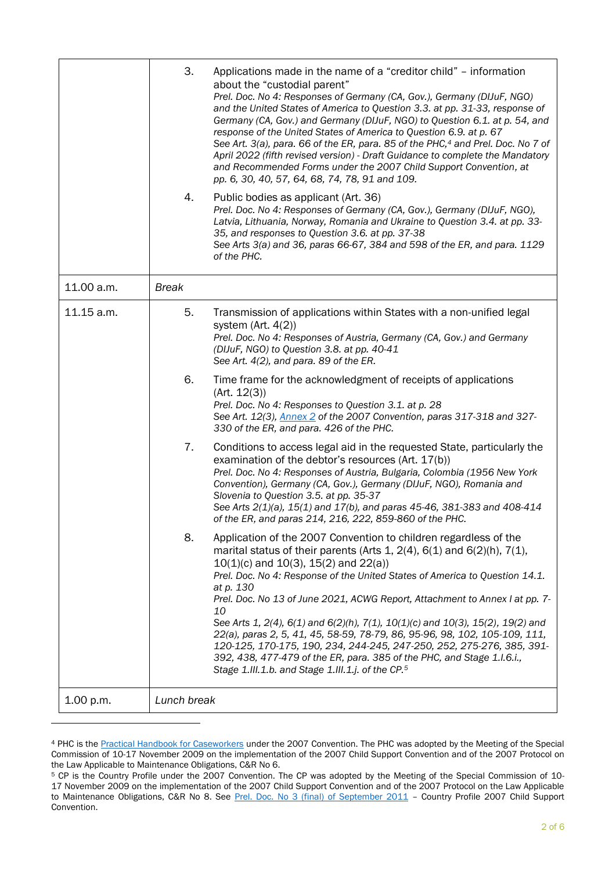|            | 3.<br>4.     | Applications made in the name of a "creditor child" – information<br>about the "custodial parent"<br>Prel. Doc. No 4: Responses of Germany (CA, Gov.), Germany (DIJuF, NGO)<br>and the United States of America to Question 3.3. at pp. 31-33, response of<br>Germany (CA, Gov.) and Germany (DIJuF, NGO) to Question 6.1. at p. 54, and<br>response of the United States of America to Question 6.9. at p. 67<br>See Art. 3(a), para. 66 of the ER, para. 85 of the PHC, <sup>4</sup> and Prel. Doc. No 7 of<br>April 2022 (fifth revised version) - Draft Guidance to complete the Mandatory<br>and Recommended Forms under the 2007 Child Support Convention, at<br>pp. 6, 30, 40, 57, 64, 68, 74, 78, 91 and 109.<br>Public bodies as applicant (Art. 36)                |  |
|------------|--------------|------------------------------------------------------------------------------------------------------------------------------------------------------------------------------------------------------------------------------------------------------------------------------------------------------------------------------------------------------------------------------------------------------------------------------------------------------------------------------------------------------------------------------------------------------------------------------------------------------------------------------------------------------------------------------------------------------------------------------------------------------------------------------|--|
|            |              | Prel. Doc. No 4: Responses of Germany (CA, Gov.), Germany (DIJuF, NGO),<br>Latvia, Lithuania, Norway, Romania and Ukraine to Question 3.4. at pp. 33-<br>35, and responses to Question 3.6. at pp. 37-38<br>See Arts 3(a) and 36, paras 66-67, 384 and 598 of the ER, and para. 1129<br>of the PHC.                                                                                                                                                                                                                                                                                                                                                                                                                                                                          |  |
| 11.00 a.m. | <b>Break</b> |                                                                                                                                                                                                                                                                                                                                                                                                                                                                                                                                                                                                                                                                                                                                                                              |  |
| 11.15 a.m. | 5.           | Transmission of applications within States with a non-unified legal<br>system $(Art. 4(2))$<br>Prel. Doc. No 4: Responses of Austria, Germany (CA, Gov.) and Germany<br>(DIJuF, NGO) to Question 3.8. at pp. 40-41<br>See Art. 4(2), and para. 89 of the ER.                                                                                                                                                                                                                                                                                                                                                                                                                                                                                                                 |  |
|            | 6.           | Time frame for the acknowledgment of receipts of applications<br>(Art. 12(3))<br>Prel. Doc. No 4: Responses to Question 3.1. at p. 28<br>See Art. 12(3), Annex 2 of the 2007 Convention, paras 317-318 and 327-<br>330 of the ER, and para. 426 of the PHC.                                                                                                                                                                                                                                                                                                                                                                                                                                                                                                                  |  |
|            | 7.           | Conditions to access legal aid in the requested State, particularly the<br>examination of the debtor's resources (Art. 17(b))<br>Prel. Doc. No 4: Responses of Austria, Bulgaria, Colombia (1956 New York<br>Convention), Germany (CA, Gov.), Germany (DIJuF, NGO), Romania and<br>Slovenia to Question 3.5. at pp. 35-37<br>See Arts 2(1)(a), 15(1) and 17(b), and paras 45-46, 381-383 and 408-414<br>of the ER, and paras 214, 216, 222, 859-860 of the PHC.                                                                                                                                                                                                                                                                                                              |  |
|            | 8.           | Application of the 2007 Convention to children regardless of the<br>marital status of their parents (Arts 1, $2(4)$ , $6(1)$ and $6(2)(h)$ , $7(1)$ ,<br>$10(1)(c)$ and $10(3)$ , $15(2)$ and $22(a)$ )<br>Prel. Doc. No 4: Response of the United States of America to Question 14.1.<br>at p. 130<br>Prel. Doc. No 13 of June 2021, ACWG Report, Attachment to Annex I at pp. 7-<br>10<br>See Arts 1, 2(4), 6(1) and 6(2)(h), 7(1), 10(1)(c) and 10(3), 15(2), 19(2) and<br>22(a), paras 2, 5, 41, 45, 58-59, 78-79, 86, 95-96, 98, 102, 105-109, 111,<br>120-125, 170-175, 190, 234, 244-245, 247-250, 252, 275-276, 385, 391-<br>392, 438, 477-479 of the ER, para. 385 of the PHC, and Stage 1.1.6.i.,<br>Stage 1.III.1.b. and Stage 1.III.1.j. of the CP. <sup>5</sup> |  |
| 1.00 p.m.  | Lunch break  |                                                                                                                                                                                                                                                                                                                                                                                                                                                                                                                                                                                                                                                                                                                                                                              |  |

<sup>4</sup> PHC is the [Practical Handbook for Caseworkers](https://assets.hcch.net/docs/5f160c92-b560-4b7f-b64c-8423f56c6292.pdf) under the 2007 Convention. The PHC was adopted by the Meeting of the Special Commission of 10-17 November 2009 on the implementation of the 2007 Child Support Convention and of the 2007 Protocol on the Law Applicable to Maintenance Obligations, C&R No 6.

<sup>5</sup> CP is the Country Profile under the 2007 Convention. The CP was adopted by the Meeting of the Special Commission of 10- 17 November 2009 on the implementation of the 2007 Child Support Convention and of the 2007 Protocol on the Law Applicable to Maintenance Obligations, C&R No 8. See [Prel. Doc. No 3 \(final\) of September 2011](https://assets.hcch.net/docs/7a6a8da3-4a7f-4367-89d6-f96e1e32c299.pdf) - Country Profile 2007 Child Support Convention.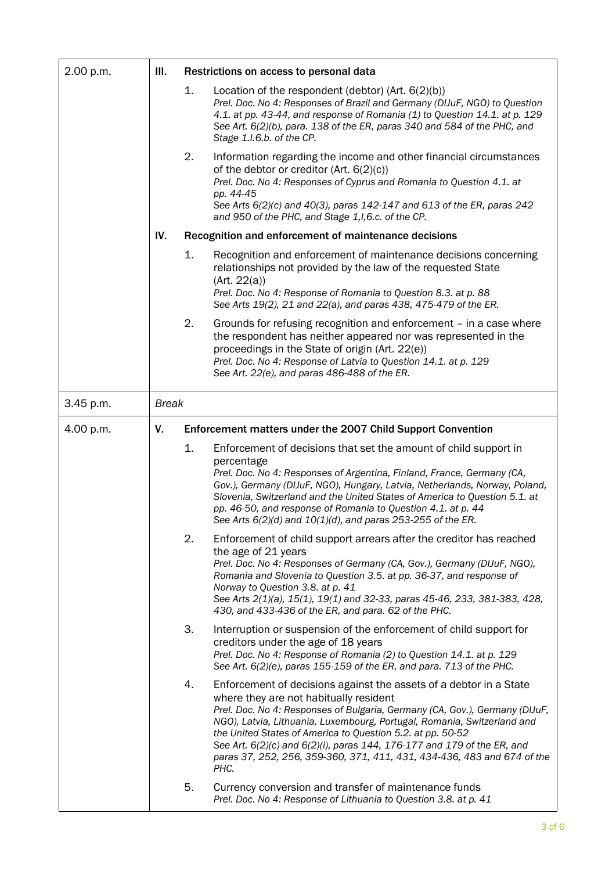| 2.00 p.m. | III.         |    | Restrictions on access to personal data                                                                                                                                                                                                                                                                                                                                                                                                                                                            |
|-----------|--------------|----|----------------------------------------------------------------------------------------------------------------------------------------------------------------------------------------------------------------------------------------------------------------------------------------------------------------------------------------------------------------------------------------------------------------------------------------------------------------------------------------------------|
|           |              | 1. | Location of the respondent (debtor) $(Art. 6(2)(b))$<br>Prel. Doc. No 4: Responses of Brazil and Germany (DIJuF, NGO) to Question<br>4.1. at pp. 43-44, and response of Romania (1) to Question 14.1. at p. 129<br>See Art. 6(2)(b), para. 138 of the ER, paras 340 and 584 of the PHC, and<br>Stage 1.I.6.b. of the CP.                                                                                                                                                                           |
|           |              | 2. | Information regarding the income and other financial circumstances<br>of the debtor or creditor (Art. 6(2)(c))<br>Prel. Doc. No 4: Responses of Cyprus and Romania to Question 4.1. at<br>pp. 44-45<br>See Arts 6(2)(c) and 40(3), paras 142-147 and 613 of the ER, paras 242<br>and 950 of the PHC, and Stage 1, I, 6.c. of the CP.                                                                                                                                                               |
|           | IV.          |    | Recognition and enforcement of maintenance decisions                                                                                                                                                                                                                                                                                                                                                                                                                                               |
|           |              | 1. | Recognition and enforcement of maintenance decisions concerning<br>relationships not provided by the law of the requested State<br>(Art. 22(a))<br>Prel. Doc. No 4: Response of Romania to Question 8.3. at p. 88<br>See Arts 19(2), 21 and 22(a), and paras 438, 475-479 of the ER.                                                                                                                                                                                                               |
|           |              | 2. | Grounds for refusing recognition and enforcement - in a case where<br>the respondent has neither appeared nor was represented in the<br>proceedings in the State of origin (Art. 22(e))<br>Prel. Doc. No 4: Response of Latvia to Question 14.1. at p. 129<br>See Art. 22(e), and paras 486-488 of the ER.                                                                                                                                                                                         |
| 3.45 p.m. | <b>Break</b> |    |                                                                                                                                                                                                                                                                                                                                                                                                                                                                                                    |
| 4.00 p.m. | V.           |    | Enforcement matters under the 2007 Child Support Convention                                                                                                                                                                                                                                                                                                                                                                                                                                        |
|           |              | 1. | Enforcement of decisions that set the amount of child support in<br>percentage<br>Prel. Doc. No 4: Responses of Argentina, Finland, France, Germany (CA,<br>Gov.), Germany (DIJuF, NGO), Hungary, Latvia, Netherlands, Norway, Poland,<br>Slovenia, Switzerland and the United States of America to Question 5.1. at<br>pp. 46-50, and response of Romania to Question 4.1. at p. 44<br>See Arts $6(2)(d)$ and $10(1)(d)$ , and paras 253-255 of the ER.                                           |
|           |              | 2. | Enforcement of child support arrears after the creditor has reached<br>the age of 21 years<br>Prel. Doc. No 4: Responses of Germany (CA, Gov.), Germany (DIJuF, NGO),<br>Romania and Slovenia to Question 3.5. at pp. 36-37, and response of<br>Norway to Question 3.8. at p. 41<br>See Arts 2(1)(a), 15(1), 19(1) and 32-33, paras 45-46, 233, 381-383, 428,<br>430, and 433-436 of the ER, and para. 62 of the PHC.                                                                              |
|           |              | 3. | Interruption or suspension of the enforcement of child support for<br>creditors under the age of 18 years<br>Prel. Doc. No 4: Response of Romania (2) to Question 14.1. at p. 129<br>See Art. 6(2)(e), paras 155-159 of the ER, and para. 713 of the PHC.                                                                                                                                                                                                                                          |
|           |              | 4. | Enforcement of decisions against the assets of a debtor in a State<br>where they are not habitually resident<br>Prel. Doc. No 4: Responses of Bulgaria, Germany (CA, Gov.), Germany (DIJuF,<br>NGO), Latvia, Lithuania, Luxembourg, Portugal, Romania, Switzerland and<br>the United States of America to Question 5.2. at pp. 50-52<br>See Art. 6(2)(c) and 6(2)(i), paras 144, 176-177 and 179 of the ER, and<br>paras 37, 252, 256, 359-360, 371, 411, 431, 434-436, 483 and 674 of the<br>PHC. |
|           |              | 5. | Currency conversion and transfer of maintenance funds<br>Prel. Doc. No 4: Response of Lithuania to Question 3.8. at p. 41                                                                                                                                                                                                                                                                                                                                                                          |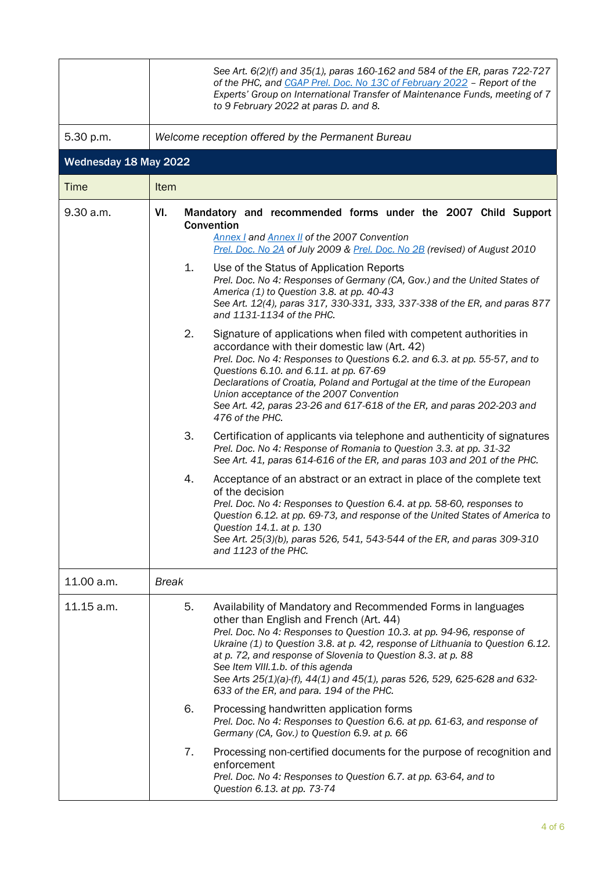|                       | See Art. 6(2)(f) and 35(1), paras 160-162 and 584 of the ER, paras 722-727<br>of the PHC, and CGAP Prel. Doc. No 13C of February 2022 - Report of the<br>Experts' Group on International Transfer of Maintenance Funds, meeting of 7<br>to 9 February 2022 at paras D. and 8.                                                                                                                                                                                                                          |  |  |  |
|-----------------------|--------------------------------------------------------------------------------------------------------------------------------------------------------------------------------------------------------------------------------------------------------------------------------------------------------------------------------------------------------------------------------------------------------------------------------------------------------------------------------------------------------|--|--|--|
| 5.30 p.m.             | Welcome reception offered by the Permanent Bureau                                                                                                                                                                                                                                                                                                                                                                                                                                                      |  |  |  |
| Wednesday 18 May 2022 |                                                                                                                                                                                                                                                                                                                                                                                                                                                                                                        |  |  |  |
| <b>Time</b>           | Item                                                                                                                                                                                                                                                                                                                                                                                                                                                                                                   |  |  |  |
| 9.30 a.m.             | VI.<br>Mandatory and recommended forms under the 2007 Child Support<br>Convention<br>Annex I and Annex II of the 2007 Convention<br>Prel. Doc. No 2A of July 2009 & Prel. Doc. No 2B (revised) of August 2010                                                                                                                                                                                                                                                                                          |  |  |  |
|                       | 1.<br>Use of the Status of Application Reports<br>Prel. Doc. No 4: Responses of Germany (CA, Gov.) and the United States of<br>America (1) to Question 3.8. at pp. 40-43<br>See Art. 12(4), paras 317, 330-331, 333, 337-338 of the ER, and paras 877<br>and 1131-1134 of the PHC.                                                                                                                                                                                                                     |  |  |  |
|                       | 2.<br>Signature of applications when filed with competent authorities in<br>accordance with their domestic law (Art. 42)<br>Prel. Doc. No 4: Responses to Questions 6.2. and 6.3. at pp. 55-57, and to<br>Questions 6.10. and 6.11. at pp. 67-69<br>Declarations of Croatia, Poland and Portugal at the time of the European<br>Union acceptance of the 2007 Convention<br>See Art. 42, paras 23-26 and 617-618 of the ER, and paras 202-203 and<br>476 of the PHC.                                    |  |  |  |
|                       | 3.<br>Certification of applicants via telephone and authenticity of signatures<br>Prel. Doc. No 4: Response of Romania to Question 3.3. at pp. 31-32<br>See Art. 41, paras 614-616 of the ER, and paras 103 and 201 of the PHC.                                                                                                                                                                                                                                                                        |  |  |  |
|                       | 4.<br>Acceptance of an abstract or an extract in place of the complete text<br>of the decision<br>Prel. Doc. No 4: Responses to Question 6.4. at pp. 58-60, responses to<br>Question 6.12. at pp. 69-73, and response of the United States of America to<br>Question 14.1. at p. 130<br>See Art. 25(3)(b), paras 526, 541, 543-544 of the ER, and paras 309-310<br>and 1123 of the PHC.                                                                                                                |  |  |  |
| 11.00 a.m.            | <b>Break</b>                                                                                                                                                                                                                                                                                                                                                                                                                                                                                           |  |  |  |
| 11.15 a.m.            | 5.<br>Availability of Mandatory and Recommended Forms in languages<br>other than English and French (Art. 44)<br>Prel. Doc. No 4: Responses to Question 10.3. at pp. 94-96, response of<br>Ukraine (1) to Question 3.8. at p. 42, response of Lithuania to Question 6.12.<br>at p. 72, and response of Slovenia to Question 8.3. at p. 88<br>See Item VIII.1.b. of this agenda<br>See Arts 25(1)(a)-(f), 44(1) and 45(1), paras 526, 529, 625-628 and 632-<br>633 of the ER, and para. 194 of the PHC. |  |  |  |
|                       | 6.<br>Processing handwritten application forms<br>Prel. Doc. No 4: Responses to Question 6.6. at pp. 61-63, and response of<br>Germany (CA, Gov.) to Question 6.9. at p. 66                                                                                                                                                                                                                                                                                                                            |  |  |  |
|                       | 7.<br>Processing non-certified documents for the purpose of recognition and<br>enforcement<br>Prel. Doc. No 4: Responses to Question 6.7. at pp. 63-64, and to<br>Question 6.13. at pp. 73-74                                                                                                                                                                                                                                                                                                          |  |  |  |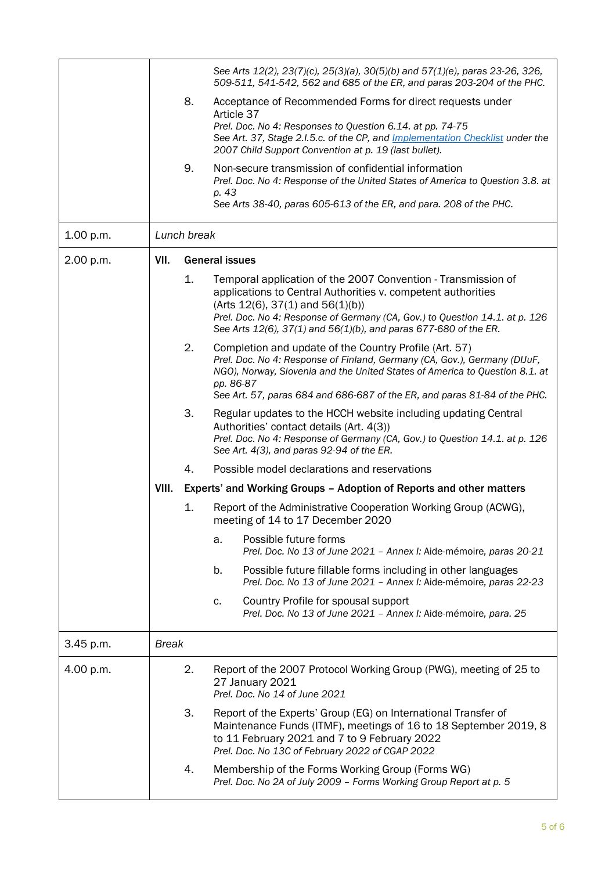|           |              |             | See Arts 12(2), 23(7)(c), 25(3)(a), 30(5)(b) and 57(1)(e), paras 23-26, 326,<br>509-511, 541-542, 562 and 685 of the ER, and paras 203-204 of the PHC.                                                                                                                                                                   |
|-----------|--------------|-------------|--------------------------------------------------------------------------------------------------------------------------------------------------------------------------------------------------------------------------------------------------------------------------------------------------------------------------|
|           |              | 8.          | Acceptance of Recommended Forms for direct requests under<br>Article 37                                                                                                                                                                                                                                                  |
|           |              |             | Prel. Doc. No 4: Responses to Question 6.14. at pp. 74-75<br>See Art. 37, Stage 2.1.5.c. of the CP, and <i>Implementation Checklist</i> under the<br>2007 Child Support Convention at p. 19 (last bullet).                                                                                                               |
|           |              | 9.          | Non-secure transmission of confidential information<br>Prel. Doc. No 4: Response of the United States of America to Question 3.8. at<br>p. 43<br>See Arts 38-40, paras 605-613 of the ER, and para. 208 of the PHC.                                                                                                      |
| 1.00 p.m. |              | Lunch break |                                                                                                                                                                                                                                                                                                                          |
| 2.00 p.m. | VII.         |             | <b>General issues</b>                                                                                                                                                                                                                                                                                                    |
|           |              | 1.          | Temporal application of the 2007 Convention - Transmission of<br>applications to Central Authorities v. competent authorities<br>$(Arts 12(6), 37(1)$ and $56(1)(b))$<br>Prel. Doc. No 4: Response of Germany (CA, Gov.) to Question 14.1. at p. 126<br>See Arts 12(6), 37(1) and 56(1)(b), and paras 677-680 of the ER. |
|           |              | 2.          | Completion and update of the Country Profile (Art. 57)<br>Prel. Doc. No 4: Response of Finland, Germany (CA, Gov.), Germany (DIJuF,<br>NGO), Norway, Slovenia and the United States of America to Question 8.1. at<br>pp. 86-87<br>See Art. 57, paras 684 and 686-687 of the ER, and paras 81-84 of the PHC.             |
|           |              | 3.          | Regular updates to the HCCH website including updating Central<br>Authorities' contact details (Art. 4(3))<br>Prel. Doc. No 4: Response of Germany (CA, Gov.) to Question 14.1. at p. 126<br>See Art. 4(3), and paras 92-94 of the ER.                                                                                   |
|           |              | 4.          | Possible model declarations and reservations                                                                                                                                                                                                                                                                             |
|           | VIII.        |             | Experts' and Working Groups - Adoption of Reports and other matters                                                                                                                                                                                                                                                      |
|           |              | 1.          | Report of the Administrative Cooperation Working Group (ACWG),<br>meeting of 14 to 17 December 2020                                                                                                                                                                                                                      |
|           |              |             | Possible future forms<br>a.<br>Prel. Doc. No 13 of June 2021 - Annex I: Aide-mémoire, paras 20-21                                                                                                                                                                                                                        |
|           |              |             | Possible future fillable forms including in other languages<br>b.<br>Prel. Doc. No 13 of June 2021 - Annex I: Aide-mémoire, paras 22-23                                                                                                                                                                                  |
|           |              |             | Country Profile for spousal support<br>c.<br>Prel. Doc. No 13 of June 2021 - Annex I: Aide-mémoire, para. 25                                                                                                                                                                                                             |
| 3.45 p.m. | <b>Break</b> |             |                                                                                                                                                                                                                                                                                                                          |
| 4.00 p.m. |              | 2.          | Report of the 2007 Protocol Working Group (PWG), meeting of 25 to<br>27 January 2021<br>Prel. Doc. No 14 of June 2021                                                                                                                                                                                                    |
|           |              | 3.          | Report of the Experts' Group (EG) on International Transfer of<br>Maintenance Funds (ITMF), meetings of 16 to 18 September 2019, 8<br>to 11 February 2021 and 7 to 9 February 2022<br>Prel. Doc. No 13C of February 2022 of CGAP 2022                                                                                    |
|           |              | 4.          | Membership of the Forms Working Group (Forms WG)<br>Prel. Doc. No 2A of July 2009 - Forms Working Group Report at p. 5                                                                                                                                                                                                   |